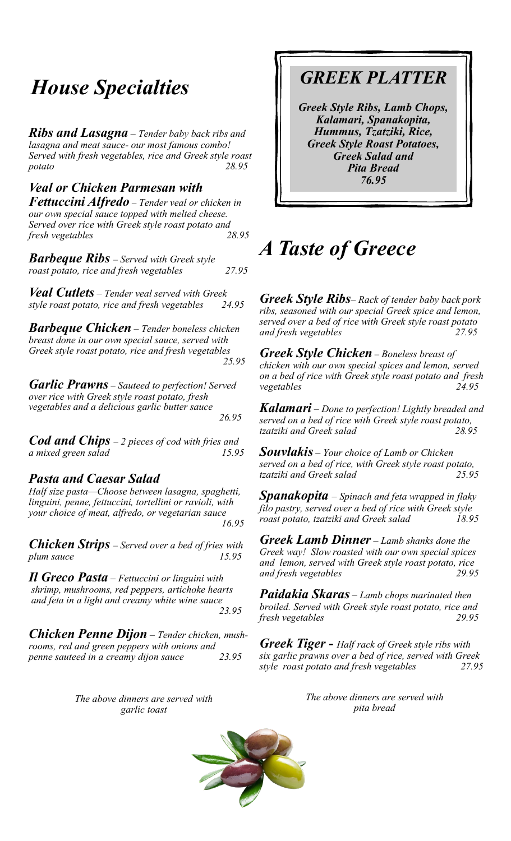# *House Specialties GREEK PLATTER*

*Ribs and Lasagna – Tender baby back ribs and lasagna and meat sauce- our most famous combo! Served with fresh vegetables, rice and Greek style roast potato 28.95*

### *Veal or Chicken Parmesan with*

*Fettuccini Alfredo – Tender veal or chicken in our own special sauce topped with melted cheese. Served over rice with Greek style roast potato and fresh vegetables 28.95*

*Barbeque Ribs – Served with Greek style roast potato, rice and fresh vegetables 27.95*

*Veal Cutlets – Tender veal served with Greek style roast potato, rice and fresh vegetables 24.95*

*Barbeque Chicken – Tender boneless chicken breast done in our own special sauce, served with Greek style roast potato, rice and fresh vegetables 25.95*

*Garlic Prawns – Sauteed to perfection! Served over rice with Greek style roast potato, fresh vegetables and a delicious garlic butter sauce 26.95*

*Cod and Chips – 2 pieces of cod with fries and a mixed green salad 15.95*

### *Pasta and Caesar Salad*

*Half size pasta—Choose between lasagna, spaghetti, linguini, penne, fettuccini, tortellini or ravioli, with your choice of meat, alfredo, or vegetarian sauce 16.95*

*Chicken Strips – Served over a bed of fries with*  plum sauce 15.95

*Il Greco Pasta – Fettuccini or linguini with shrimp, mushrooms, red peppers, artichoke hearts and feta in a light and creamy white wine sauce 23.95* 

*Chicken Penne Dijon – Tender chicken, mushrooms, red and green peppers with onions and penne sauteed in a creamy dijon sauce 23.95*

> *The above dinners are served with garlic toast*

*Greek Style Ribs, Lamb Chops, Kalamari, Spanakopita, Hummus, Tzatziki, Rice, Greek Style Roast Potatoes, Greek Salad and Pita Bread 76.95*

## *A Taste of Greece*

*Greek Style Ribs– Rack of tender baby back pork ribs, seasoned with our special Greek spice and lemon, served over a bed of rice with Greek style roast potato and fresh vegetables 27.95*

*Greek Style Chicken – Boneless breast of chicken with our own special spices and lemon, served on a bed of rice with Greek style roast potato and fresh vegetables 24.95*

*Kalamari – Done to perfection! Lightly breaded and served on a bed of rice with Greek style roast potato, tzatziki and Greek salad* 

*Souvlakis – Your choice of Lamb or Chicken served on a bed of rice, with Greek style roast potato, tzatziki and Greek salad* 

*Spanakopita – Spinach and feta wrapped in flaky filo pastry, served over a bed of rice with Greek style roast potato, tzatziki and Greek salad 18.95*

*Greek Lamb Dinner – Lamb shanks done the Greek way! Slow roasted with our own special spices and lemon, served with Greek style roast potato, rice and fresh vegetables 29.95*

*Paidakia Skaras – Lamb chops marinated then broiled. Served with Greek style roast potato, rice and fresh vegetables 29.95*

*Greek Tiger - Half rack of Greek style ribs with six garlic prawns over a bed of rice, served with Greek style roast potato and fresh vegetables 27.95*

> *The above dinners are served with pita bread*

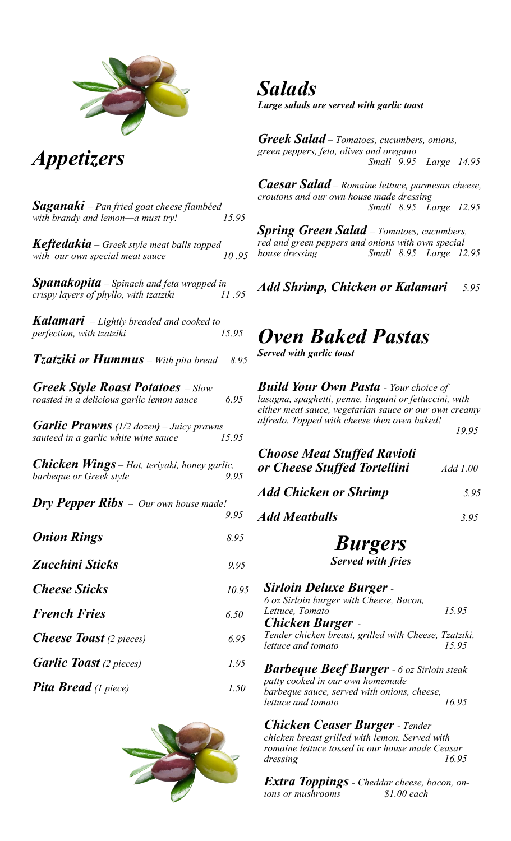

*Appetizers*

*Saganaki – Pan fried goat cheese flambéed with brandy and lemon—a must try! 15.95 Keftedakia – Greek style meat balls topped with our own special meat sauce 10 .95 Spanakopita – Spinach and feta wrapped in crispy layers of phyllo, with tzatziki 11 .95 Kalamari – Lightly breaded and cooked to perfection, with tzatziki 15.95 Tzatziki or Hummus – With pita bread 8.95 Greek Style Roast Potatoes – Slow roasted in a delicious garlic lemon sauce 6.95 Garlic Prawns (1/2 dozen) – Juicy prawns sauteed in a garlic white wine sauce 15.95 Chicken Wings – Hot, teriyaki, honey garlic, barbeque or Greek style* 9.95 *Dry Pepper Ribs – Our own house made! 9.95 Onion Rings 8.95 Zucchini Sticks 9.95 Cheese Sticks 10.95 French Fries 6.50 Cheese Toast (2 pieces) 6.95 Garlic Toast (2 pieces) 1.95 Pita Bread (1 piece) 1.50*



*Salads Large salads are served with garlic toast*

*Greek Salad – Tomatoes, cucumbers, onions, green peppers, feta, olives and oregano Small 9.95 Large 14.95*

*Caesar Salad – Romaine lettuce, parmesan cheese, croutons and our own house made dressing Small 8.95 Large 12.95*

*Spring Green Salad – Tomatoes, cucumbers, red and green peppers and onions with own special house dressing Small 8.95 Large 12.95*

*Add Shrimp, Chicken or Kalamari 5.95*

### *Oven Baked Pastas*

*Served with garlic toast*

*Build Your Own Pasta - Your choice of lasagna, spaghetti, penne, linguini or fettuccini, with either meat sauce, vegetarian sauce or our own creamy alfredo. Topped with cheese then oven baked!* 

 *19.95*

| <b>Choose Meat Stuffed Ravioli</b><br>or Cheese Stuffed Tortellini | Add 1.00 |
|--------------------------------------------------------------------|----------|
| <b>Add Chicken or Shrimp</b>                                       | 5.95     |
| <b>Add Meatballs</b>                                               | 3.95     |
| <b>Burgers</b><br><b>Served with fries</b>                         |          |
| Sirloin Doluyo Rurgor                                              |          |

*Sirloin Deluxe Burger - 6 oz Sirloin burger with Cheese, Bacon, Lettuce, Tomato 15.95 Chicken Burger -*

*Tender chicken breast, grilled with Cheese, Tzatziki, lettuce and tomato* 

*Barbeque Beef Burger - 6 oz Sirloin steak patty cooked in our own homemade barbeque sauce, served with onions, cheese, lettuce and tomato 16.95*

*Chicken Ceaser Burger - Tender chicken breast grilled with lemon. Served with romaine lettuce tossed in our house made Ceasar dressing 16.95*

*Extra Toppings - Cheddar cheese, bacon, onions or mushrooms \$1.00 each*